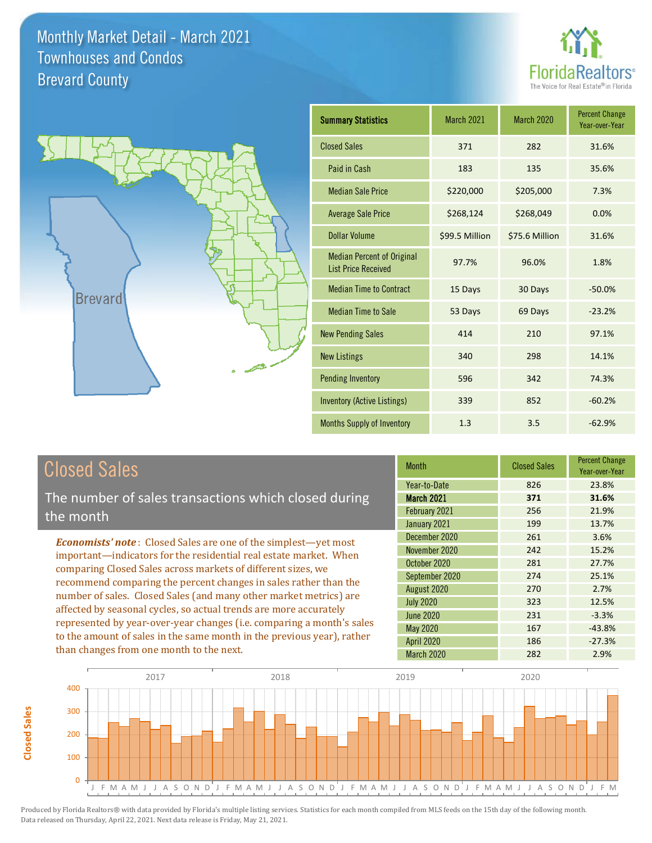



| <b>Summary Statistics</b>                                       | March 2021     | <b>March 2020</b> | <b>Percent Change</b><br>Year-over-Year |
|-----------------------------------------------------------------|----------------|-------------------|-----------------------------------------|
| <b>Closed Sales</b>                                             | 371            | 282               | 31.6%                                   |
| Paid in Cash                                                    | 183            | 135               | 35.6%                                   |
| <b>Median Sale Price</b>                                        | \$220,000      | \$205,000         | 7.3%                                    |
| <b>Average Sale Price</b>                                       | \$268,124      | \$268,049         | 0.0%                                    |
| Dollar Volume                                                   | \$99.5 Million | \$75.6 Million    | 31.6%                                   |
| <b>Median Percent of Original</b><br><b>List Price Received</b> | 97.7%          | 96.0%             | 1.8%                                    |
| <b>Median Time to Contract</b>                                  | 15 Days        | 30 Days           | $-50.0%$                                |
| <b>Median Time to Sale</b>                                      | 53 Days        | 69 Days           | $-23.2%$                                |
| <b>New Pending Sales</b>                                        | 414            | 210               | 97.1%                                   |
| <b>New Listings</b>                                             | 340            | 298               | 14.1%                                   |
| <b>Pending Inventory</b>                                        | 596            | 342               | 74.3%                                   |
| <b>Inventory (Active Listings)</b>                              | 339            | 852               | $-60.2%$                                |
| <b>Months Supply of Inventory</b>                               | 1.3            | 3.5               | $-62.9%$                                |

# Closed Sales

The number of sales transactions which closed during the month

*Economists' note* : Closed Sales are one of the simplest—yet most important—indicators for the residential real estate market. When comparing Closed Sales across markets of different sizes, we recommend comparing the percent changes in sales rather than the number of sales. Closed Sales (and many other market metrics) are affected by seasonal cycles, so actual trends are more accurately represented by year-over-year changes (i.e. comparing a month's sales to the amount of sales in the same month in the previous year), rather than changes from one month to the next.

| Month             | <b>Closed Sales</b> | <b>Percent Change</b><br>Year-over-Year |
|-------------------|---------------------|-----------------------------------------|
| Year-to-Date      | 826                 | 23.8%                                   |
| <b>March 2021</b> | 371                 | 31.6%                                   |
| February 2021     | 256                 | 21.9%                                   |
| January 2021      | 199                 | 13.7%                                   |
| December 2020     | 261                 | 3.6%                                    |
| November 2020     | 242                 | 15.2%                                   |
| October 2020      | 281                 | 27.7%                                   |
| September 2020    | 274                 | 25.1%                                   |
| August 2020       | 270                 | 2.7%                                    |
| <b>July 2020</b>  | 323                 | 12.5%                                   |
| <b>June 2020</b>  | 231                 | $-3.3%$                                 |
| <b>May 2020</b>   | 167                 | $-43.8%$                                |
| <b>April 2020</b> | 186                 | $-27.3%$                                |
| March 2020        | 282                 | 2.9%                                    |

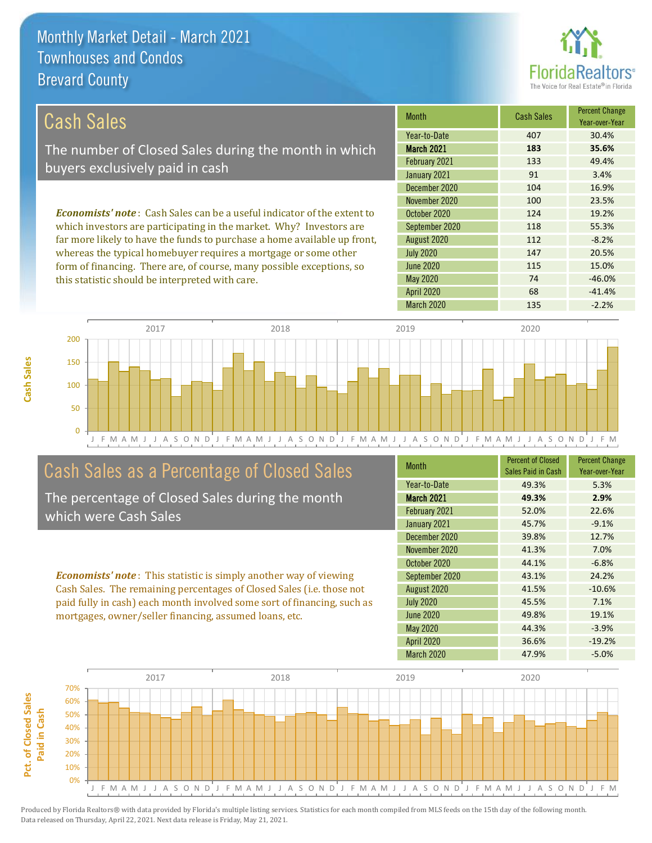this statistic should be interpreted with care.



74 -46.0%

| Cash Sales                                                                     | <b>Month</b>      | <b>Cash Sales</b> | <b>Percent Change</b><br>Year-over-Year |
|--------------------------------------------------------------------------------|-------------------|-------------------|-----------------------------------------|
|                                                                                | Year-to-Date      | 407               | 30.4%                                   |
| The number of Closed Sales during the month in which                           | <b>March 2021</b> | 183               | 35.6%                                   |
| buyers exclusively paid in cash                                                | February 2021     | 133               | 49.4%                                   |
|                                                                                | January 2021      | 91                | 3.4%                                    |
|                                                                                | December 2020     | 104               | 16.9%                                   |
|                                                                                | November 2020     | 100               | 23.5%                                   |
| <b>Economists' note:</b> Cash Sales can be a useful indicator of the extent to | October 2020      | 124               | 19.2%                                   |
| which investors are participating in the market. Why? Investors are            | September 2020    | 118               | 55.3%                                   |
| far more likely to have the funds to purchase a home available up front,       | August 2020       | 112               | $-8.2%$                                 |
| whereas the typical homebuyer requires a mortgage or some other                | <b>July 2020</b>  | 147               | 20.5%                                   |
| form of financing. There are, of course, many possible exceptions, so          | June 2020         | 115               | 15.0%                                   |

May 2020

J F M A M J J A S O N D J F M A M J J A S O N D J F M A M J J A S O N D J F M A M J J A S O N D J F M 0 50 100 150 200 2017 2018 2019 2020

# Cash Sales as a Percentage of Closed Sales

The percentage of Closed Sales during the month which were Cash Sales

*Economists' note* : This statistic is simply another way of viewing Cash Sales. The remaining percentages of Closed Sales (i.e. those not paid fully in cash) each month involved some sort of financing, such as mortgages, owner/seller financing, assumed loans, etc.

| <b>Month</b>      | <b>Percent of Closed</b><br>Sales Paid in Cash | <b>Percent Change</b><br>Year-over-Year |
|-------------------|------------------------------------------------|-----------------------------------------|
| Year-to-Date      | 49.3%                                          | 5.3%                                    |
| <b>March 2021</b> | 49.3%                                          | 2.9%                                    |
| February 2021     | 52.0%                                          | 22.6%                                   |
| January 2021      | 45.7%                                          | $-9.1%$                                 |
| December 2020     | 39.8%                                          | 12.7%                                   |
| November 2020     | 41.3%                                          | 7.0%                                    |
| October 2020      | 44.1%                                          | $-6.8%$                                 |
| September 2020    | 43.1%                                          | 24.2%                                   |
| August 2020       | 41.5%                                          | $-10.6%$                                |
| <b>July 2020</b>  | 45.5%                                          | 7.1%                                    |
| <b>June 2020</b>  | 49.8%                                          | 19.1%                                   |
| May 2020          | 44.3%                                          | $-3.9%$                                 |
| <b>April 2020</b> | 36.6%                                          | $-19.2%$                                |
| <b>March 2020</b> | 47.9%                                          | $-5.0%$                                 |

April 2020 68 -41.4%

March 2020 135 -2.2%

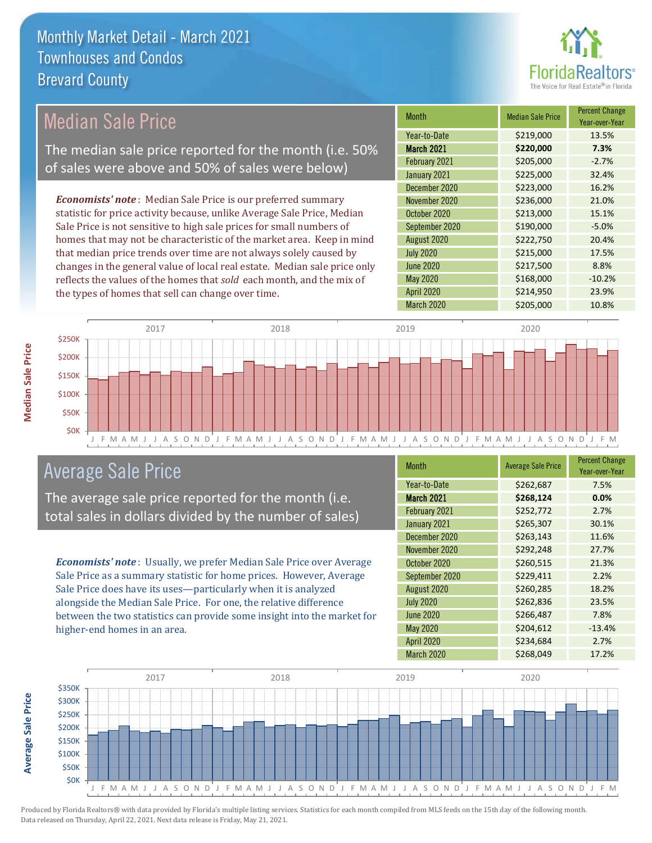

# Median Sale Price

The median sale price reported for the month (i.e. 50% of sales were above and 50% of sales were below)

*Economists' note* : Median Sale Price is our preferred summary statistic for price activity because, unlike Average Sale Price, Median Sale Price is not sensitive to high sale prices for small numbers of homes that may not be characteristic of the market area. Keep in mind that median price trends over time are not always solely caused by changes in the general value of local real estate. Median sale price only reflects the values of the homes that *sold* each month, and the mix of the types of homes that sell can change over time.

| Month             | <b>Median Sale Price</b> | <b>Percent Change</b><br>Year-over-Year |
|-------------------|--------------------------|-----------------------------------------|
| Year-to-Date      | \$219,000                | 13.5%                                   |
| March 2021        | \$220,000                | 7.3%                                    |
| February 2021     | \$205,000                | $-2.7%$                                 |
| January 2021      | \$225,000                | 32.4%                                   |
| December 2020     | \$223,000                | 16.2%                                   |
| November 2020     | \$236,000                | 21.0%                                   |
| October 2020      | \$213,000                | 15.1%                                   |
| September 2020    | \$190,000                | $-5.0%$                                 |
| August 2020       | \$222,750                | 20.4%                                   |
| <b>July 2020</b>  | \$215,000                | 17.5%                                   |
| <b>June 2020</b>  | \$217,500                | 8.8%                                    |
| May 2020          | \$168,000                | $-10.2%$                                |
| <b>April 2020</b> | \$214,950                | 23.9%                                   |
| <b>March 2020</b> | \$205,000                | 10.8%                                   |



## Average Sale Price

The average sale price reported for the month (i.e. total sales in dollars divided by the number of sales)

*Economists' note* : Usually, we prefer Median Sale Price over Average Sale Price as a summary statistic for home prices. However, Average Sale Price does have its uses—particularly when it is analyzed alongside the Median Sale Price. For one, the relative difference between the two statistics can provide some insight into the market for higher-end homes in an area.

| Month             | <b>Average Sale Price</b> | <b>Percent Change</b><br>Year-over-Year |
|-------------------|---------------------------|-----------------------------------------|
| Year-to-Date      | \$262,687                 | 7.5%                                    |
| <b>March 2021</b> | \$268,124                 | 0.0%                                    |
| February 2021     | \$252,772                 | 2.7%                                    |
| January 2021      | \$265,307                 | 30.1%                                   |
| December 2020     | \$263,143                 | 11.6%                                   |
| November 2020     | \$292,248                 | 27.7%                                   |
| October 2020      | \$260,515                 | 21.3%                                   |
| September 2020    | \$229,411                 | 2.2%                                    |
| August 2020       | \$260,285                 | 18.2%                                   |
| <b>July 2020</b>  | \$262,836                 | 23.5%                                   |
| <b>June 2020</b>  | \$266,487                 | 7.8%                                    |
| May 2020          | \$204,612                 | $-13.4%$                                |
| <b>April 2020</b> | \$234,684                 | 2.7%                                    |
| March 2020        | \$268,049                 | 17.2%                                   |

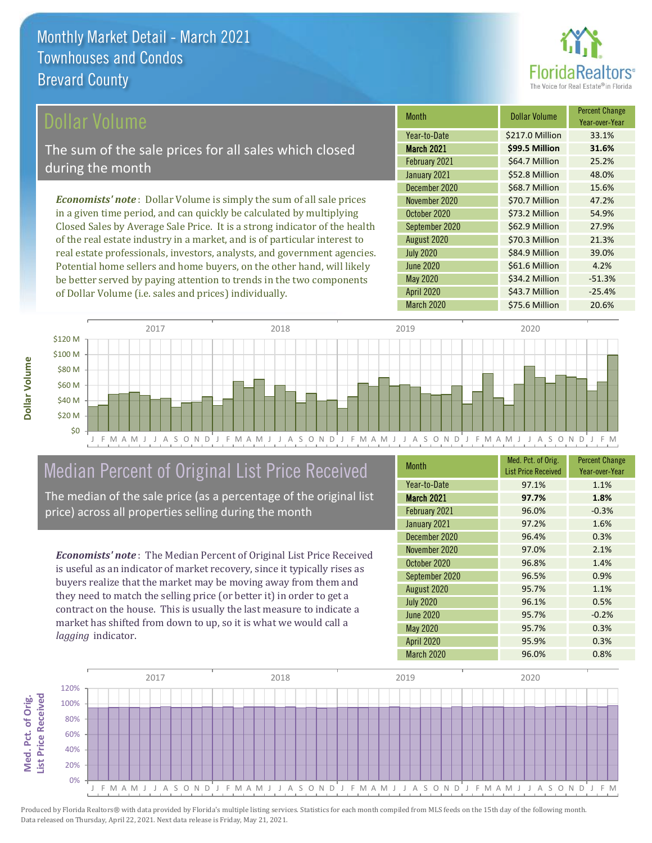

### ollar Volume

The sum of the sale prices for all sales which closed during the month

*Economists' note* : Dollar Volume is simply the sum of all sale prices in a given time period, and can quickly be calculated by multiplying Closed Sales by Average Sale Price. It is a strong indicator of the health of the real estate industry in a market, and is of particular interest to real estate professionals, investors, analysts, and government agencies. Potential home sellers and home buyers, on the other hand, will likely be better served by paying attention to trends in the two components of Dollar Volume (i.e. sales and prices) individually.

| <b>Month</b>      | <b>Dollar Volume</b> | <b>Percent Change</b><br>Year-over-Year |
|-------------------|----------------------|-----------------------------------------|
| Year-to-Date      | \$217.0 Million      | 33.1%                                   |
| <b>March 2021</b> | \$99.5 Million       | 31.6%                                   |
| February 2021     | \$64.7 Million       | 25.2%                                   |
| January 2021      | \$52.8 Million       | 48.0%                                   |
| December 2020     | \$68.7 Million       | 15.6%                                   |
| November 2020     | \$70.7 Million       | 47.2%                                   |
| October 2020      | \$73.2 Million       | 54.9%                                   |
| September 2020    | \$62.9 Million       | 27.9%                                   |
| August 2020       | \$70.3 Million       | 21.3%                                   |
| <b>July 2020</b>  | \$84.9 Million       | 39.0%                                   |
| <b>June 2020</b>  | \$61.6 Million       | 4.2%                                    |
| May 2020          | \$34.2 Million       | $-51.3%$                                |
| <b>April 2020</b> | \$43.7 Million       | $-25.4%$                                |
| March 2020        | \$75.6 Million       | 20.6%                                   |



# Median Percent of Original List Price Received

The median of the sale price (as a percentage of the original list price) across all properties selling during the month

*Economists' note* : The Median Percent of Original List Price Received is useful as an indicator of market recovery, since it typically rises as buyers realize that the market may be moving away from them and they need to match the selling price (or better it) in order to get a contract on the house. This is usually the last measure to indicate a market has shifted from down to up, so it is what we would call a *lagging* indicator.

| <b>Month</b>      | Med. Pct. of Orig.<br><b>List Price Received</b> | <b>Percent Change</b><br>Year-over-Year |
|-------------------|--------------------------------------------------|-----------------------------------------|
| Year-to-Date      | 97.1%                                            | 1.1%                                    |
| <b>March 2021</b> | 97.7%                                            | 1.8%                                    |
| February 2021     | 96.0%                                            | $-0.3%$                                 |
| January 2021      | 97.2%                                            | 1.6%                                    |
| December 2020     | 96.4%                                            | 0.3%                                    |
| November 2020     | 97.0%                                            | 2.1%                                    |
| October 2020      | 96.8%                                            | 1.4%                                    |
| September 2020    | 96.5%                                            | 0.9%                                    |
| August 2020       | 95.7%                                            | 1.1%                                    |
| <b>July 2020</b>  | 96.1%                                            | 0.5%                                    |
| <b>June 2020</b>  | 95.7%                                            | $-0.2%$                                 |
| <b>May 2020</b>   | 95.7%                                            | 0.3%                                    |
| <b>April 2020</b> | 95.9%                                            | 0.3%                                    |
| March 2020        | 96.0%                                            | 0.8%                                    |



Produced by Florida Realtors® with data provided by Florida's multiple listing services. Statistics for each month compiled from MLS feeds on the 15th day of the following month. Data released on Thursday, April 22, 2021. Next data release is Friday, May 21, 2021.

**Med. Pct. of Orig.** 

Med. Pct. of Orig.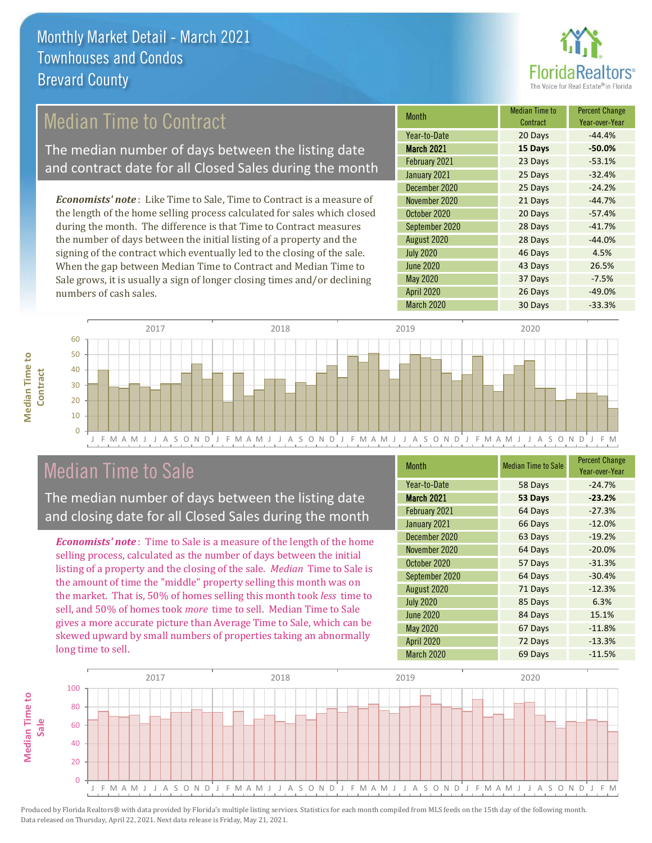

## Median Time to Contract

The median number of days between the listing date and contract date for all Closed Sales during the month

*Economists' note* : Like Time to Sale, Time to Contract is a measure of the length of the home selling process calculated for sales which closed during the month. The difference is that Time to Contract measures the number of days between the initial listing of a property and the signing of the contract which eventually led to the closing of the sale. When the gap between Median Time to Contract and Median Time to Sale grows, it is usually a sign of longer closing times and/or declining numbers of cash sales.

| <b>Month</b>      | <b>Median Time to</b><br>Contract | <b>Percent Change</b><br>Year-over-Year |
|-------------------|-----------------------------------|-----------------------------------------|
| Year-to-Date      | 20 Days                           | $-44.4%$                                |
| <b>March 2021</b> | 15 Days                           | $-50.0%$                                |
| February 2021     | 23 Days                           | $-53.1%$                                |
| January 2021      | 25 Days                           | $-32.4%$                                |
| December 2020     | 25 Days                           | $-24.2%$                                |
| November 2020     | 21 Days                           | $-44.7%$                                |
| October 2020      | 20 Days                           | $-57.4%$                                |
| September 2020    | 28 Days                           | $-41.7%$                                |
| August 2020       | 28 Days                           | $-44.0%$                                |
| <b>July 2020</b>  | 46 Days                           | 4.5%                                    |
| <b>June 2020</b>  | 43 Days                           | 26.5%                                   |
| May 2020          | 37 Days                           | $-7.5%$                                 |
| <b>April 2020</b> | 26 Days                           | $-49.0%$                                |
| March 2020        | 30 Days                           | $-33.3%$                                |



## Median Time to Sale

**Median Time to Contract**

**Median Time to** 

The median number of days between the listing date and closing date for all Closed Sales during the month

*Economists' note* : Time to Sale is a measure of the length of the home selling process, calculated as the number of days between the initial listing of a property and the closing of the sale. *Median* Time to Sale is the amount of time the "middle" property selling this month was on the market. That is, 50% of homes selling this month took *less* time to sell, and 50% of homes took *more* time to sell. Median Time to Sale gives a more accurate picture than Average Time to Sale, which can be skewed upward by small numbers of properties taking an abnormally long time to sell.

| Month             | <b>Median Time to Sale</b> | <b>Percent Change</b><br>Year-over-Year |
|-------------------|----------------------------|-----------------------------------------|
| Year-to-Date      | 58 Days                    | $-24.7%$                                |
| <b>March 2021</b> | 53 Days                    | $-23.2%$                                |
| February 2021     | 64 Days                    | $-27.3%$                                |
| January 2021      | 66 Days                    | $-12.0%$                                |
| December 2020     | 63 Days                    | $-19.2%$                                |
| November 2020     | 64 Days                    | $-20.0%$                                |
| October 2020      | 57 Days                    | $-31.3%$                                |
| September 2020    | 64 Days                    | $-30.4%$                                |
| August 2020       | 71 Days                    | $-12.3%$                                |
| <b>July 2020</b>  | 85 Days                    | 6.3%                                    |
| <b>June 2020</b>  | 84 Days                    | 15.1%                                   |
| <b>May 2020</b>   | 67 Days                    | $-11.8%$                                |
| <b>April 2020</b> | 72 Days                    | $-13.3%$                                |
| March 2020        | 69 Days                    | $-11.5%$                                |

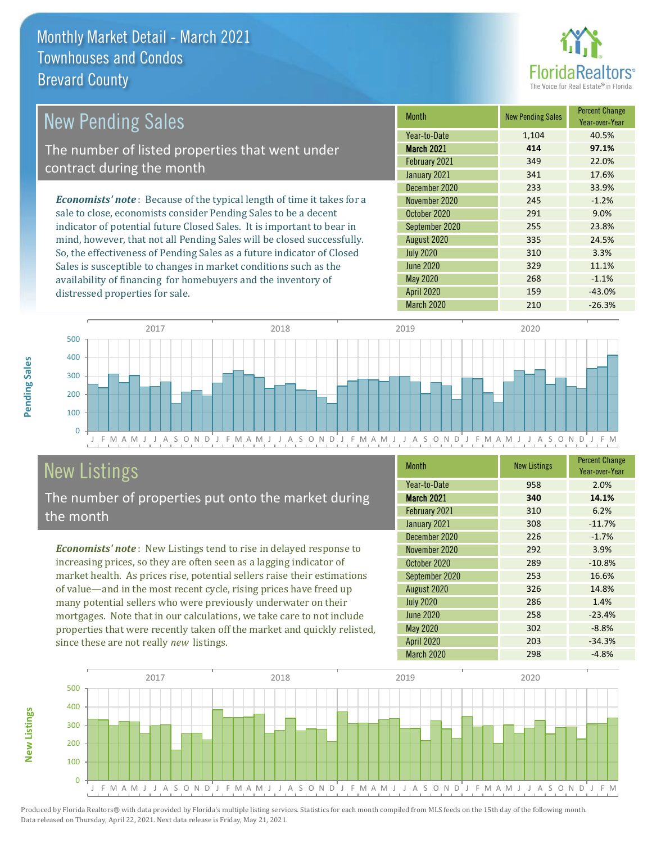

| <b>New Pending Sales</b>                                                       | <b>Month</b>      | <b>New Pending Sales</b> | <b>Percent Change</b><br>Year-over-Year |
|--------------------------------------------------------------------------------|-------------------|--------------------------|-----------------------------------------|
|                                                                                | Year-to-Date      | 1,104                    | 40.5%                                   |
| The number of listed properties that went under                                | <b>March 2021</b> | 414                      | 97.1%                                   |
| contract during the month                                                      | February 2021     | 349                      | 22.0%                                   |
|                                                                                | January 2021      | 341                      | 17.6%                                   |
|                                                                                | December 2020     | 233                      | 33.9%                                   |
| <b>Economists' note</b> : Because of the typical length of time it takes for a | November 2020     | 245                      | $-1.2%$                                 |
| sale to close, economists consider Pending Sales to be a decent                | October 2020      | 291                      | 9.0%                                    |
| indicator of potential future Closed Sales. It is important to bear in         | September 2020    | 255                      | 23.8%                                   |
| mind, however, that not all Pending Sales will be closed successfully.         | August 2020       | 335                      | 24.5%                                   |
| So, the effectiveness of Pending Sales as a future indicator of Closed         | <b>July 2020</b>  | 310                      | 3.3%                                    |
| Sales is susceptible to changes in market conditions such as the               | <b>June 2020</b>  | 329                      | 11.1%                                   |



# New Listings

distressed properties for sale.

The number of properties put onto the market during the month

availability of financing for homebuyers and the inventory of

*Economists' note* : New Listings tend to rise in delayed response to increasing prices, so they are often seen as a lagging indicator of market health. As prices rise, potential sellers raise their estimations of value—and in the most recent cycle, rising prices have freed up many potential sellers who were previously underwater on their mortgages. Note that in our calculations, we take care to not include properties that were recently taken off the market and quickly relisted, since these are not really *new* listings.

| <b>Month</b>      | <b>New Listings</b> | <b>Percent Change</b><br>Year-over-Year |
|-------------------|---------------------|-----------------------------------------|
| Year-to-Date      | 958                 | 2.0%                                    |
| <b>March 2021</b> | 340                 | 14.1%                                   |
| February 2021     | 310                 | 6.2%                                    |
| January 2021      | 308                 | $-11.7%$                                |
| December 2020     | 226                 | $-1.7%$                                 |
| November 2020     | 292                 | 3.9%                                    |
| October 2020      | 289                 | $-10.8%$                                |
| September 2020    | 253                 | 16.6%                                   |
| August 2020       | 326                 | 14.8%                                   |
| <b>July 2020</b>  | 286                 | 1.4%                                    |
| <b>June 2020</b>  | 258                 | $-23.4%$                                |
| <b>May 2020</b>   | 302                 | $-8.8%$                                 |
| <b>April 2020</b> | 203                 | $-34.3%$                                |
| March 2020        | 298                 | $-4.8%$                                 |

March 2020 210 210 -26.3%

May 2020 268 -1.1% April 2020 **159** -43.0%



**Pending Sales**

Pending Sales

**New Listings**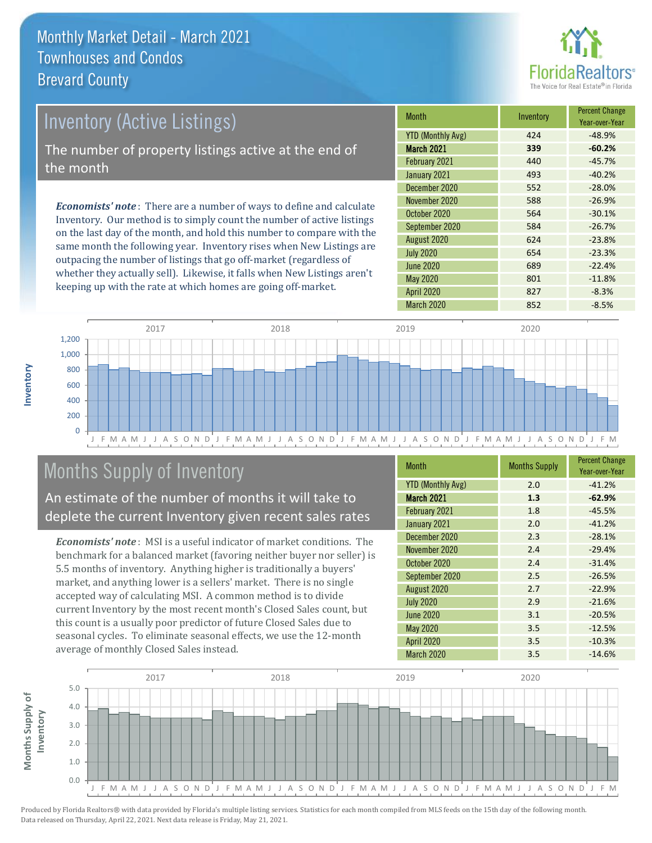

# Inventory (Active Listings) The number of property listings active at the end of the month

*Economists' note* : There are a number of ways to define and calculate Inventory. Our method is to simply count the number of active listings on the last day of the month, and hold this number to compare with the same month the following year. Inventory rises when New Listings are outpacing the number of listings that go off-market (regardless of whether they actually sell). Likewise, it falls when New Listings aren't keeping up with the rate at which homes are going off-market.

| <b>Month</b>             | Inventory | <b>Percent Change</b><br>Year-over-Year |
|--------------------------|-----------|-----------------------------------------|
| <b>YTD (Monthly Avg)</b> | 424       | $-48.9%$                                |
| <b>March 2021</b>        | 339       | $-60.2%$                                |
| February 2021            | 440       | $-45.7%$                                |
| January 2021             | 493       | $-40.2%$                                |
| December 2020            | 552       | $-28.0%$                                |
| November 2020            | 588       | $-26.9%$                                |
| October 2020             | 564       | $-30.1%$                                |
| September 2020           | 584       | $-26.7%$                                |
| August 2020              | 624       | $-23.8%$                                |
| <b>July 2020</b>         | 654       | $-23.3%$                                |
| <b>June 2020</b>         | 689       | $-22.4%$                                |
| May 2020                 | 801       | $-11.8%$                                |
| <b>April 2020</b>        | 827       | $-8.3%$                                 |
| <b>March 2020</b>        | 852       | $-8.5%$                                 |



# Months Supply of Inventory

An estimate of the number of months it will take to deplete the current Inventory given recent sales rates

*Economists' note* : MSI is a useful indicator of market conditions. The benchmark for a balanced market (favoring neither buyer nor seller) is 5.5 months of inventory. Anything higher is traditionally a buyers' market, and anything lower is a sellers' market. There is no single accepted way of calculating MSI. A common method is to divide current Inventory by the most recent month's Closed Sales count, but this count is a usually poor predictor of future Closed Sales due to seasonal cycles. To eliminate seasonal effects, we use the 12-month average of monthly Closed Sales instead.

| <b>Month</b>             | <b>Months Supply</b> | <b>Percent Change</b><br>Year-over-Year |
|--------------------------|----------------------|-----------------------------------------|
| <b>YTD (Monthly Avg)</b> | 2.0                  | $-41.2%$                                |
| March 2021               | 1.3                  | $-62.9%$                                |
| February 2021            | 1.8                  | $-45.5%$                                |
| January 2021             | 2.0                  | $-41.2%$                                |
| December 2020            | 2.3                  | $-28.1%$                                |
| November 2020            | 2.4                  | $-29.4%$                                |
| October 2020             | 2.4                  | $-31.4%$                                |
| September 2020           | 2.5                  | $-26.5%$                                |
| August 2020              | 2.7                  | $-22.9%$                                |
| <b>July 2020</b>         | 2.9                  | $-21.6%$                                |
| June 2020                | 3.1                  | $-20.5%$                                |
| May 2020                 | 3.5                  | $-12.5%$                                |
| April 2020               | 3.5                  | $-10.3%$                                |
| March 2020               | 3.5                  | $-14.6%$                                |



**Inventory**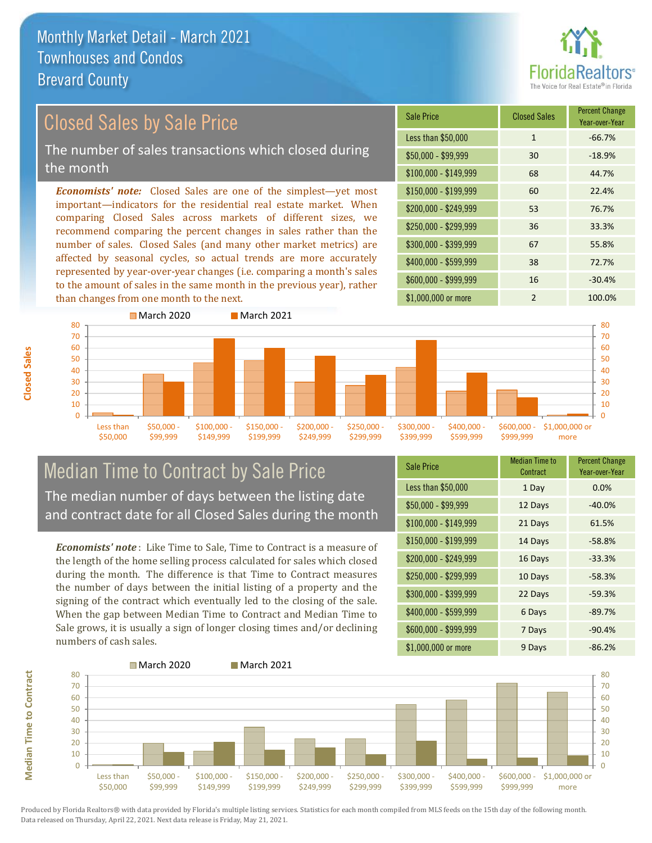than changes from one month to the next.



#### \$100,000 - \$149,999 68 44.7% Sale Price Closed Sales Percent Change Year-over-Year Less than \$50,000 1 1 -66.7% \$50,000 - \$99,999 30 -18.9% \$150,000 - \$199,999 60 22.4% \$200,000 - \$249,999 53 76.7% \$400,000 - \$599,999 38 72.7% \$600,000 - \$999,999 16 -30.4% *Economists' note:* Closed Sales are one of the simplest—yet most important—indicators for the residential real estate market. When comparing Closed Sales across markets of different sizes, we recommend comparing the percent changes in sales rather than the number of sales. Closed Sales (and many other market metrics) are affected by seasonal cycles, so actual trends are more accurately represented by year-over-year changes (i.e. comparing a month's sales to the amount of sales in the same month in the previous year), rather \$250,000 - \$299,999 36 33.3% \$300,000 - \$399,999 67 55.8% Closed Sales by Sale Price The number of sales transactions which closed during the month



### Median Time to Contract by Sale Price The median number of days between the listing date and contract date for all Closed Sales during the month

*Economists' note* : Like Time to Sale, Time to Contract is a measure of the length of the home selling process calculated for sales which closed during the month. The difference is that Time to Contract measures the number of days between the initial listing of a property and the signing of the contract which eventually led to the closing of the sale. When the gap between Median Time to Contract and Median Time to Sale grows, it is usually a sign of longer closing times and/or declining numbers of cash sales.

| <b>Sale Price</b>     | <b>Median Time to</b><br>Contract | <b>Percent Change</b><br>Year-over-Year |
|-----------------------|-----------------------------------|-----------------------------------------|
| Less than \$50,000    | 1 Day                             | 0.0%                                    |
| $$50,000 - $99,999$   | 12 Days                           | $-40.0%$                                |
| $$100,000 - $149,999$ | 21 Days                           | 61.5%                                   |
| \$150,000 - \$199,999 | 14 Days                           | $-58.8%$                                |
| \$200,000 - \$249,999 | 16 Days                           | $-33.3%$                                |
| \$250,000 - \$299,999 | 10 Days                           | $-58.3%$                                |
| \$300,000 - \$399,999 | 22 Days                           | $-59.3%$                                |
| \$400,000 - \$599,999 | 6 Days                            | $-89.7%$                                |
| \$600,000 - \$999,999 | 7 Days                            | $-90.4%$                                |
| \$1,000,000 or more   | 9 Days                            | $-86.2%$                                |

\$1,000,000 or more 2 100.0%



Produced by Florida Realtors® with data provided by Florida's multiple listing services. Statistics for each month compiled from MLS feeds on the 15th day of the following month. Data released on Thursday, April 22, 2021. Next data release is Friday, May 21, 2021.

**Median Time to Contract**

**Median Time to Contract**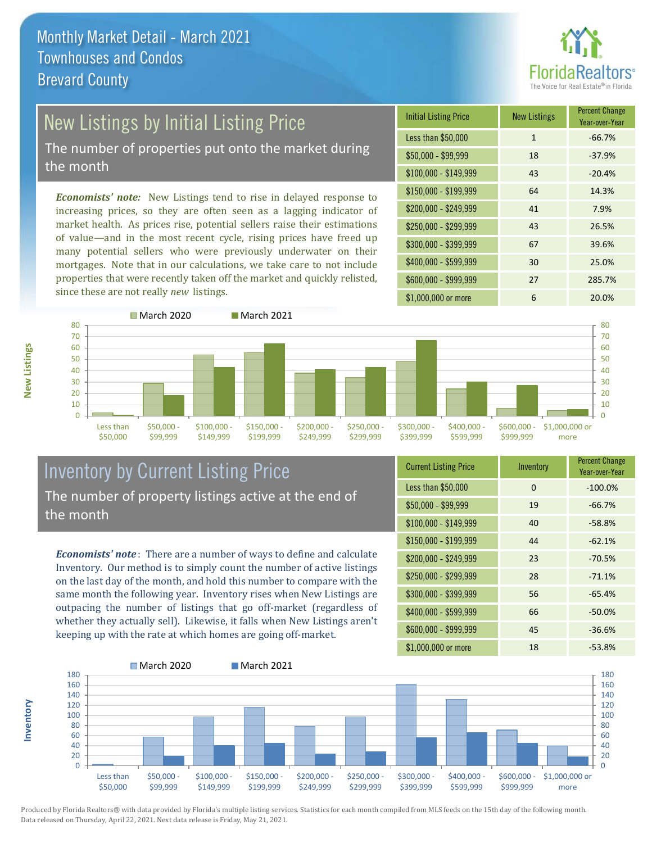

# New Listings by Initial Listing Price

The number of properties put onto the market during the month

*Economists' note:* New Listings tend to rise in delayed response to increasing prices, so they are often seen as a lagging indicator of market health. As prices rise, potential sellers raise their estimations of value—and in the most recent cycle, rising prices have freed up many potential sellers who were previously underwater on their mortgages. Note that in our calculations, we take care to not include properties that were recently taken off the market and quickly relisted, since these are not really *new* listings.





#### Inventory by Current Listing Price The number of property listings active at the end of the month

*Economists' note* : There are a number of ways to define and calculate Inventory. Our method is to simply count the number of active listings on the last day of the month, and hold this number to compare with the same month the following year. Inventory rises when New Listings are outpacing the number of listings that go off-market (regardless of whether they actually sell). Likewise, it falls when New Listings aren't keeping up with the rate at which homes are going off-market.

| <b>Current Listing Price</b> | Inventory | <b>Percent Change</b><br>Year-over-Year |
|------------------------------|-----------|-----------------------------------------|
| Less than \$50,000           | $\Omega$  | $-100.0%$                               |
| $$50,000 - $99,999$          | 19        | $-66.7%$                                |
| $$100,000 - $149,999$        | 40        | $-58.8%$                                |
| $$150,000 - $199,999$        | 44        | $-62.1%$                                |
| \$200,000 - \$249,999        | 23        | $-70.5%$                                |
| \$250,000 - \$299,999        | 28        | $-71.1%$                                |
| \$300,000 - \$399,999        | 56        | $-65.4%$                                |
| \$400,000 - \$599,999        | 66        | $-50.0%$                                |
| \$600,000 - \$999,999        | 45        | $-36.6%$                                |
| \$1,000,000 or more          | 18        | $-53.8%$                                |



Produced by Florida Realtors® with data provided by Florida's multiple listing services. Statistics for each month compiled from MLS feeds on the 15th day of the following month. Data released on Thursday, April 22, 2021. Next data release is Friday, May 21, 2021.

**Inventory**